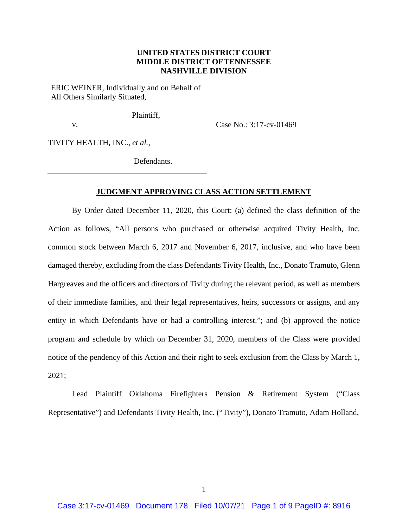## **UNITED STATES DISTRICT COURT MIDDLE DISTRICT OFTENNESSEE NASHVILLE DIVISION**

ERIC WEINER, Individually and on Behalf of All Others Similarly Situated,

Plaintiff,

v.

Case No.: 3:17-cv-01469

TIVITY HEALTH, INC., *et al.*,

Defendants.

## **JUDGMENT APPROVING CLASS ACTION SETTLEMENT**

By Order dated December 11, 2020, this Court: (a) defined the class definition of the Action as follows, "All persons who purchased or otherwise acquired Tivity Health, Inc. common stock between March 6, 2017 and November 6, 2017, inclusive, and who have been damaged thereby, excluding from the class Defendants Tivity Health, Inc., Donato Tramuto, Glenn Hargreaves and the officers and directors of Tivity during the relevant period, as well as members of their immediate families, and their legal representatives, heirs, successors or assigns, and any entity in which Defendants have or had a controlling interest."; and (b) approved the notice program and schedule by which on December 31, 2020, members of the Class were provided notice of the pendency of this Action and their right to seek exclusion from the Class by March 1, 2021;

Lead Plaintiff Oklahoma Firefighters Pension & Retirement System ("Class Representative") and Defendants Tivity Health, Inc. ("Tivity"), Donato Tramuto, Adam Holland,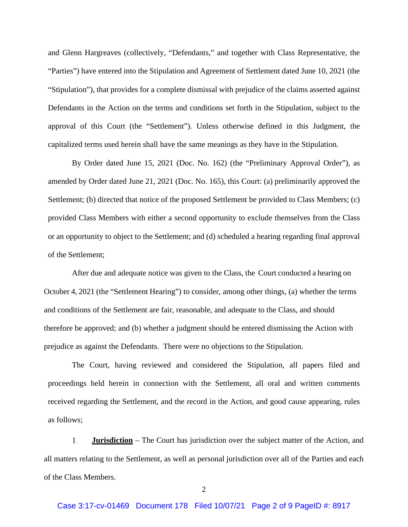and Glenn Hargreaves (collectively, "Defendants," and together with Class Representative, the "Parties") have entered into the Stipulation and Agreement of Settlement dated June 10, 2021 (the "Stipulation"), that provides for a complete dismissal with prejudice of the claims asserted against Defendants in the Action on the terms and conditions set forth in the Stipulation, subject to the approval of this Court (the "Settlement"). Unless otherwise defined in this Judgment, the capitalized terms used herein shall have the same meanings as they have in the Stipulation.

By Order dated June 15, 2021 (Doc. No. 162) (the "Preliminary Approval Order"), as amended by Order dated June 21, 2021 (Doc. No. 165), this Court: (a) preliminarily approved the Settlement; (b) directed that notice of the proposed Settlement be provided to Class Members; (c) provided Class Members with either a second opportunity to exclude themselves from the Class or an opportunity to object to the Settlement; and (d) scheduled a hearing regarding final approval of the Settlement;

After due and adequate notice was given to the Class, the Court conducted a hearing on October 4, 2021 (the "Settlement Hearing") to consider, among other things, (a) whether the terms and conditions of the Settlement are fair, reasonable, and adequate to the Class, and should therefore be approved; and (b) whether a judgment should be entered dismissing the Action with prejudice as against the Defendants. There were no objections to the Stipulation.

The Court, having reviewed and considered the Stipulation, all papers filed and proceedings held herein in connection with the Settlement, all oral and written comments received regarding the Settlement, and the record in the Action, and good cause appearing, rules as follows;

**Jurisdiction** – The Court has jurisdiction over the subject matter of the Action, and  $\mathbf{1}$ . all matters relating to the Settlement, as well as personal jurisdiction over all of the Parties and each of the Class Members.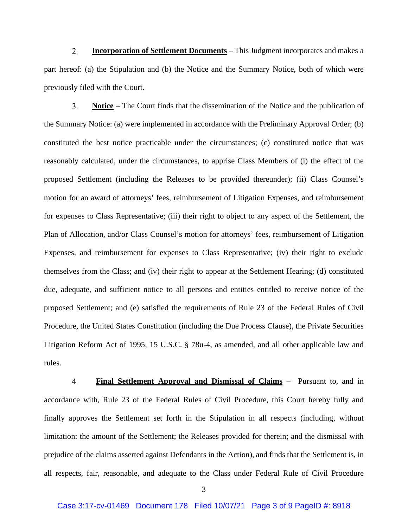$2.$ **Incorporation of Settlement Documents** – This Judgment incorporates and makes a part hereof: (a) the Stipulation and (b) the Notice and the Summary Notice, both of which were previously filed with the Court.

 $\overline{3}$ . **Notice** – The Court finds that the dissemination of the Notice and the publication of the Summary Notice: (a) were implemented in accordance with the Preliminary Approval Order; (b) constituted the best notice practicable under the circumstances; (c) constituted notice that was reasonably calculated, under the circumstances, to apprise Class Members of (i) the effect of the proposed Settlement (including the Releases to be provided thereunder); (ii) Class Counsel's motion for an award of attorneys' fees, reimbursement of Litigation Expenses, and reimbursement for expenses to Class Representative; (iii) their right to object to any aspect of the Settlement, the Plan of Allocation, and/or Class Counsel's motion for attorneys' fees, reimbursement of Litigation Expenses, and reimbursement for expenses to Class Representative; (iv) their right to exclude themselves from the Class; and (iv) their right to appear at the Settlement Hearing; (d) constituted due, adequate, and sufficient notice to all persons and entities entitled to receive notice of the proposed Settlement; and (e) satisfied the requirements of Rule 23 of the Federal Rules of Civil Procedure, the United States Constitution (including the Due Process Clause), the Private Securities Litigation Reform Act of 1995, 15 U.S.C. § 78u-4, as amended, and all other applicable law and rules.

**Final Settlement Approval and Dismissal of Claims** – Pursuant to, and in  $\overline{4}$ . accordance with, Rule 23 of the Federal Rules of Civil Procedure, this Court hereby fully and finally approves the Settlement set forth in the Stipulation in all respects (including, without limitation: the amount of the Settlement; the Releases provided for therein; and the dismissal with prejudice of the claims asserted against Defendants in the Action), and finds that the Settlement is, in all respects, fair, reasonable, and adequate to the Class under Federal Rule of Civil Procedure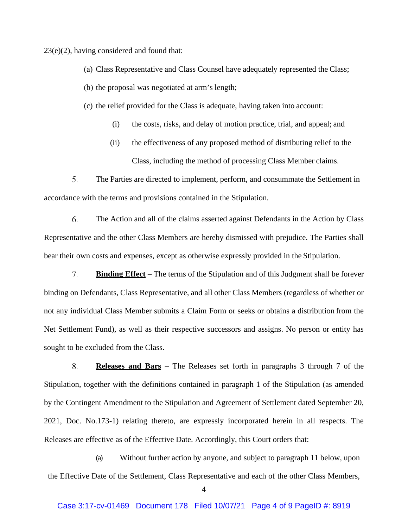23(e)(2), having considered and found that:

- (a) Class Representative and Class Counsel have adequately represented the Class;
- (b) the proposal was negotiated at arm's length;
- (c) the relief provided for the Class is adequate, having taken into account:
	- (i) the costs, risks, and delay of motion practice, trial, and appeal; and
	- (ii) the effectiveness of any proposed method of distributing relief to the Class, including the method of processing Class Member claims.

 $5<sub>1</sub>$ The Parties are directed to implement, perform, and consummate the Settlement in accordance with the terms and provisions contained in the Stipulation.

6. The Action and all of the claims asserted against Defendants in the Action by Class Representative and the other Class Members are hereby dismissed with prejudice. The Parties shall bear their own costs and expenses, except as otherwise expressly provided in the Stipulation.

7. **Binding Effect** – The terms of the Stipulation and of this Judgment shall be forever binding on Defendants, Class Representative, and all other Class Members (regardless of whether or not any individual Class Member submits a Claim Form or seeks or obtains a distribution from the Net Settlement Fund), as well as their respective successors and assigns. No person or entity has sought to be excluded from the Class.

8. **Releases and Bars** – The Releases set forth in paragraphs 3 through 7 of the Stipulation, together with the definitions contained in paragraph 1 of the Stipulation (as amended by the Contingent Amendment to the Stipulation and Agreement of Settlement dated September 20, 2021, Doc. No.173-1) relating thereto, are expressly incorporated herein in all respects. The Releases are effective as of the Effective Date. Accordingly, this Court orders that:

(a) Without further action by anyone, and subject to paragraph 11 below, upon the Effective Date of the Settlement, Class Representative and each of the other Class Members,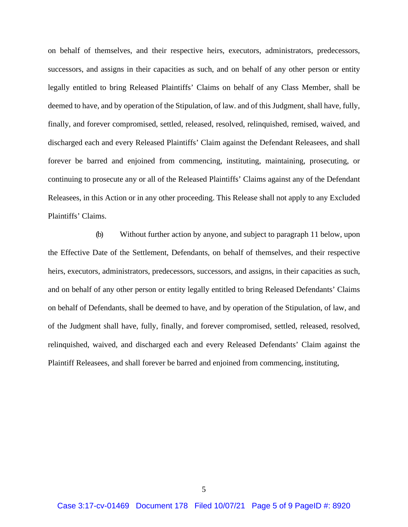on behalf of themselves, and their respective heirs, executors, administrators, predecessors, successors, and assigns in their capacities as such, and on behalf of any other person or entity legally entitled to bring Released Plaintiffs' Claims on behalf of any Class Member, shall be deemed to have, and by operation of the Stipulation, of law. and of this Judgment, shall have, fully, finally, and forever compromised, settled, released, resolved, relinquished, remised, waived, and discharged each and every Released Plaintiffs' Claim against the Defendant Releasees, and shall forever be barred and enjoined from commencing, instituting, maintaining, prosecuting, or continuing to prosecute any or all of the Released Plaintiffs' Claims against any of the Defendant Releasees, in this Action or in any other proceeding. This Release shall not apply to any Excluded Plaintiffs' Claims.

(b) Without further action by anyone, and subject to paragraph 11 below, upon the Effective Date of the Settlement, Defendants, on behalf of themselves, and their respective heirs, executors, administrators, predecessors, successors, and assigns, in their capacities as such, and on behalf of any other person or entity legally entitled to bring Released Defendants' Claims on behalf of Defendants, shall be deemed to have, and by operation of the Stipulation, of law, and of the Judgment shall have, fully, finally, and forever compromised, settled, released, resolved, relinquished, waived, and discharged each and every Released Defendants' Claim against the Plaintiff Releasees, and shall forever be barred and enjoined from commencing, instituting,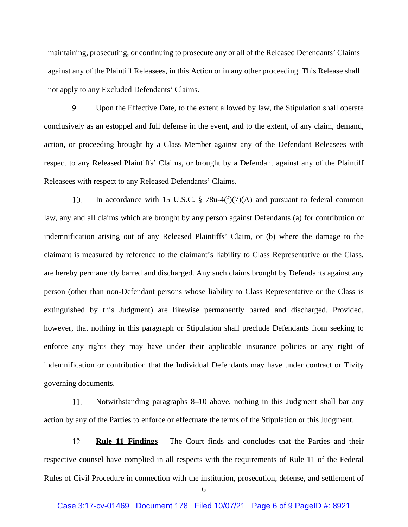maintaining, prosecuting, or continuing to prosecute any or all of the Released Defendants' Claims against any of the Plaintiff Releasees, in this Action or in any other proceeding. This Release shall not apply to any Excluded Defendants' Claims.

9. Upon the Effective Date, to the extent allowed by law, the Stipulation shall operate conclusively as an estoppel and full defense in the event, and to the extent, of any claim, demand, action, or proceeding brought by a Class Member against any of the Defendant Releasees with respect to any Released Plaintiffs' Claims, or brought by a Defendant against any of the Plaintiff Releasees with respect to any Released Defendants' Claims.

10. In accordance with 15 U.S.C.  $\S$  78u-4(f)(7)(A) and pursuant to federal common law, any and all claims which are brought by any person against Defendants (a) for contribution or indemnification arising out of any Released Plaintiffs' Claim, or (b) where the damage to the claimant is measured by reference to the claimant's liability to Class Representative or the Class, are hereby permanently barred and discharged. Any such claims brought by Defendants against any person (other than non-Defendant persons whose liability to Class Representative or the Class is extinguished by this Judgment) are likewise permanently barred and discharged. Provided, however, that nothing in this paragraph or Stipulation shall preclude Defendants from seeking to enforce any rights they may have under their applicable insurance policies or any right of indemnification or contribution that the Individual Defendants may have under contract or Tivity governing documents.

Notwithstanding paragraphs 8–10 above, nothing in this Judgment shall bar any 11. action by any of the Parties to enforce or effectuate the terms of the Stipulation or this Judgment.

12. **Rule 11 Findings** – The Court finds and concludes that the Parties and their respective counsel have complied in all respects with the requirements of Rule 11 of the Federal Rules of Civil Procedure in connection with the institution, prosecution, defense, and settlement of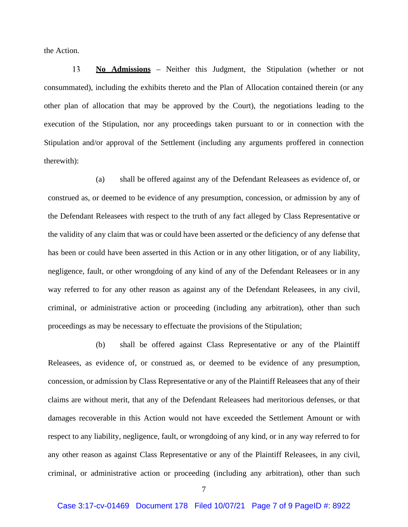the Action.

**No Admissions** – Neither this Judgment, the Stipulation (whether or not 13. consummated), including the exhibits thereto and the Plan of Allocation contained therein (or any other plan of allocation that may be approved by the Court), the negotiations leading to the execution of the Stipulation, nor any proceedings taken pursuant to or in connection with the Stipulation and/or approval of the Settlement (including any arguments proffered in connection therewith):

(a) shall be offered against any of the Defendant Releasees as evidence of, or construed as, or deemed to be evidence of any presumption, concession, or admission by any of the Defendant Releasees with respect to the truth of any fact alleged by Class Representative or the validity of any claim that was or could have been asserted or the deficiency of any defense that has been or could have been asserted in this Action or in any other litigation, or of any liability, negligence, fault, or other wrongdoing of any kind of any of the Defendant Releasees or in any way referred to for any other reason as against any of the Defendant Releasees, in any civil, criminal, or administrative action or proceeding (including any arbitration), other than such proceedings as may be necessary to effectuate the provisions of the Stipulation;

(b) shall be offered against Class Representative or any of the Plaintiff Releasees, as evidence of, or construed as, or deemed to be evidence of any presumption, concession, or admission by Class Representative or any of the Plaintiff Releasees that any of their claims are without merit, that any of the Defendant Releasees had meritorious defenses, or that damages recoverable in this Action would not have exceeded the Settlement Amount or with respect to any liability, negligence, fault, or wrongdoing of any kind, or in any way referred to for any other reason as against Class Representative or any of the Plaintiff Releasees, in any civil, criminal, or administrative action or proceeding (including any arbitration), other than such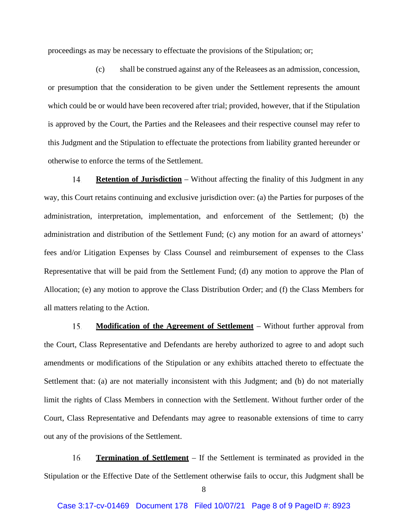proceedings as may be necessary to effectuate the provisions of the Stipulation; or;

(c) shall be construed against any of the Releasees as an admission, concession, or presumption that the consideration to be given under the Settlement represents the amount which could be or would have been recovered after trial; provided, however, that if the Stipulation is approved by the Court, the Parties and the Releasees and their respective counsel may refer to this Judgment and the Stipulation to effectuate the protections from liability granted hereunder or otherwise to enforce the terms of the Settlement.

14. **Retention of Jurisdiction** – Without affecting the finality of this Judgment in any way, this Court retains continuing and exclusive jurisdiction over: (a) the Parties for purposes of the administration, interpretation, implementation, and enforcement of the Settlement; (b) the administration and distribution of the Settlement Fund; (c) any motion for an award of attorneys' fees and/or Litigation Expenses by Class Counsel and reimbursement of expenses to the Class Representative that will be paid from the Settlement Fund; (d) any motion to approve the Plan of Allocation; (e) any motion to approve the Class Distribution Order; and (f) the Class Members for all matters relating to the Action.

**Modification of the Agreement of Settlement** – Without further approval from 15. the Court, Class Representative and Defendants are hereby authorized to agree to and adopt such amendments or modifications of the Stipulation or any exhibits attached thereto to effectuate the Settlement that: (a) are not materially inconsistent with this Judgment; and (b) do not materially limit the rights of Class Members in connection with the Settlement. Without further order of the Court, Class Representative and Defendants may agree to reasonable extensions of time to carry out any of the provisions of the Settlement.

16. **Termination of Settlement** – If the Settlement is terminated as provided in the Stipulation or the Effective Date of the Settlement otherwise fails to occur, this Judgment shall be